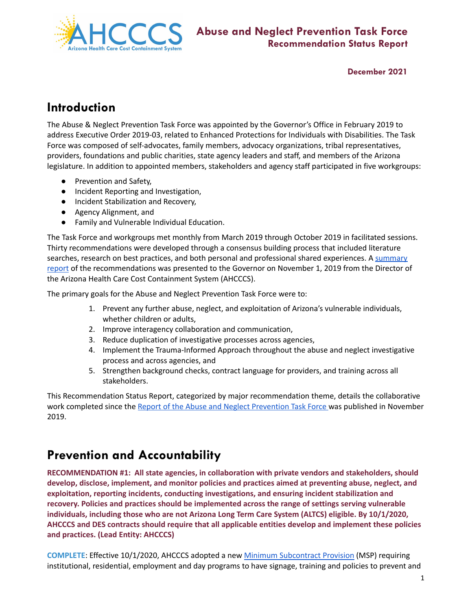

# **Introduction**

The Abuse & Neglect Prevention Task Force was appointed by the Governor's Office in February 2019 to address Executive Order 2019-03, related to Enhanced Protections for Individuals with Disabilities. The Task Force was composed of self-advocates, family members, advocacy organizations, tribal representatives, providers, foundations and public charities, state agency leaders and staff, and members of the Arizona legislature. In addition to appointed members, stakeholders and agency staff participated in five workgroups:

- Prevention and Safety,
- Incident Reporting and Investigation,
- Incident Stabilization and Recovery,
- Agency Alignment, and
- Family and Vulnerable Individual Education.

The Task Force and workgroups met monthly from March 2019 through October 2019 in facilitated sessions. Thirty recommendations were developed through a consensus building process that included literature searches, research on best practices, and both personal and professional shared experiences. A [summary](https://www.azahcccs.gov/AHCCCS/Downloads/AbuseAndNeglectPreventionTaskForceReport2019.pdf) [report](https://www.azahcccs.gov/AHCCCS/Downloads/AbuseAndNeglectPreventionTaskForceReport2019.pdf) of the recommendations was presented to the Governor on November 1, 2019 from the Director of the Arizona Health Care Cost Containment System (AHCCCS).

The primary goals for the Abuse and Neglect Prevention Task Force were to:

- 1. Prevent any further abuse, neglect, and exploitation of Arizona's vulnerable individuals, whether children or adults,
- 2. Improve interagency collaboration and communication,
- 3. Reduce duplication of investigative processes across agencies,
- 4. Implement the Trauma-Informed Approach throughout the abuse and neglect investigative process and across agencies, and
- 5. Strengthen background checks, contract language for providers, and training across all stakeholders.

This Recommendation Status Report, categorized by major recommendation theme, details the collaborative work completed since the Report of the Abuse and Neglect [Prevention](https://www.azahcccs.gov/AHCCCS/Downloads/AbuseAndNeglectPreventionTaskForceReport2019.pdf) Task Force was published in November 2019.

# **Prevention and Accountability**

**RECOMMENDATION #1: All state agencies, in collaboration with private vendors and stakeholders, should develop, disclose, implement, and monitor policies and practices aimed at preventing abuse, neglect, and exploitation, reporting incidents, conducting investigations, and ensuring incident stabilization and recovery. Policies and practices should be implemented across the range of settings serving vulnerable individuals, including those who are not Arizona Long Term Care System (ALTCS) eligible. By 10/1/2020, AHCCCS and DES contracts should require that all applicable entities develop and implement these policies and practices. (Lead Entity: AHCCCS)**

**COMPLETE**: Effective 10/1/2020, AHCCCS adopted a new Minimum [Subcontract](https://www.azahcccs.gov/PlansProviders/HealthPlans/minimumsubcontractprovisions.html) Provision (MSP) requiring institutional, residential, employment and day programs to have signage, training and policies to prevent and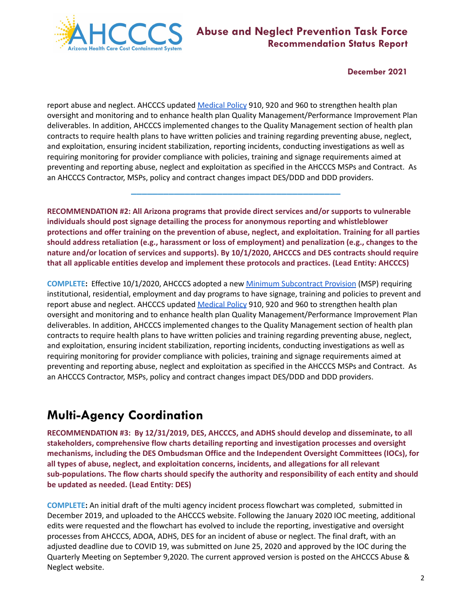

report abuse and neglect. AHCCCS updated [Medical](https://www.azahcccs.gov/shared/MedicalPolicyManual/) Policy 910, 920 and 960 to strengthen health plan oversight and monitoring and to enhance health plan Quality Management/Performance Improvement Plan deliverables. In addition, AHCCCS implemented changes to the Quality Management section of health plan contracts to require health plans to have written policies and training regarding preventing abuse, neglect, and exploitation, ensuring incident stabilization, reporting incidents, conducting investigations as well as requiring monitoring for provider compliance with policies, training and signage requirements aimed at preventing and reporting abuse, neglect and exploitation as specified in the AHCCCS MSPs and Contract. As an AHCCCS Contractor, MSPs, policy and contract changes impact DES/DDD and DDD providers.

**RECOMMENDATION #2: All Arizona programs that provide direct services and/or supports to vulnerable individuals should post signage detailing the process for anonymous reporting and whistleblower protections and offer training on the prevention of abuse, neglect, and exploitation. Training for all parties should address retaliation (e.g., harassment or loss of employment) and penalization (e.g., changes to the nature and/or location of services and supports). By 10/1/2020, AHCCCS and DES contracts should require that all applicable entities develop and implement these protocols and practices. (Lead Entity: AHCCCS)**

**\_\_\_\_\_\_\_\_\_\_\_\_\_\_\_\_\_\_\_\_\_\_\_\_\_\_\_\_\_\_\_\_\_\_\_\_\_\_\_**

**COMPLETE:** Effective 10/1/2020, AHCCCS adopted a new Minimum [Subcontract](https://www.azahcccs.gov/PlansProviders/HealthPlans/minimumsubcontractprovisions.html) Provision (MSP) requiring institutional, residential, employment and day programs to have signage, training and policies to prevent and report abuse and neglect. AHCCCS updated [Medical](https://www.azahcccs.gov/shared/MedicalPolicyManual/) Policy 910, 920 and 960 to strengthen health plan oversight and monitoring and to enhance health plan Quality Management/Performance Improvement Plan deliverables. In addition, AHCCCS implemented changes to the Quality Management section of health plan contracts to require health plans to have written policies and training regarding preventing abuse, neglect, and exploitation, ensuring incident stabilization, reporting incidents, conducting investigations as well as requiring monitoring for provider compliance with policies, training and signage requirements aimed at preventing and reporting abuse, neglect and exploitation as specified in the AHCCCS MSPs and Contract. As an AHCCCS Contractor, MSPs, policy and contract changes impact DES/DDD and DDD providers.

# **Multi-Agency Coordination**

**RECOMMENDATION #3: By 12/31/2019, DES, AHCCCS, and ADHS should develop and disseminate, to all stakeholders, comprehensive flow charts detailing reporting and investigation processes and oversight mechanisms, including the DES Ombudsman Office and the Independent Oversight Committees (IOCs), for all types of abuse, neglect, and exploitation concerns, incidents, and allegations for all relevant sub-populations. The flow charts should specify the authority and responsibility of each entity and should be updated as needed. (Lead Entity: DES)**

**COMPLETE:** An initial draft of the multi agency incident process flowchart was completed, submitted in December 2019, and uploaded to the AHCCCS website. Following the January 2020 IOC meeting, additional edits were requested and the flowchart has evolved to include the reporting, investigative and oversight processes from AHCCCS, ADOA, ADHS, DES for an incident of abuse or neglect. The final draft, with an adjusted deadline due to COVID 19, was submitted on June 25, 2020 and approved by the IOC during the Quarterly Meeting on September 9,2020. The current approved version is posted on the AHCCCS Abuse & Neglect website.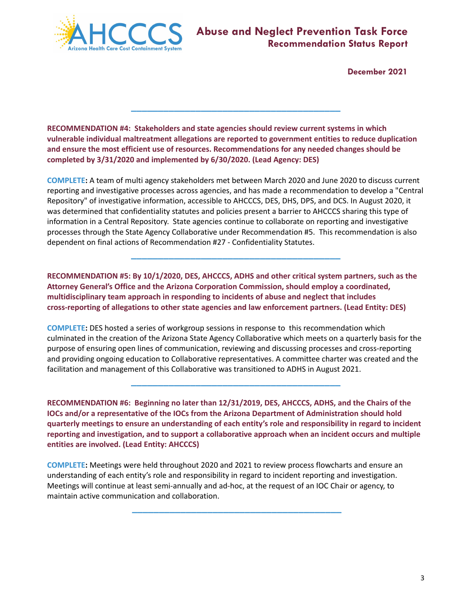

**RECOMMENDATION #4: Stakeholders and state agencies should review current systems in which vulnerable individual maltreatment allegations are reported to government entities to reduce duplication and ensure the most efficient use of resources. Recommendations for any needed changes should be completed by 3/31/2020 and implemented by 6/30/2020. (Lead Agency: DES)**

**\_\_\_\_\_\_\_\_\_\_\_\_\_\_\_\_\_\_\_\_\_\_\_\_\_\_\_\_\_\_\_\_\_\_\_\_\_\_\_**

**COMPLETE:** A team of multi agency stakeholders met between March 2020 and June 2020 to discuss current reporting and investigative processes across agencies, and has made a recommendation to develop a "Central Repository" of investigative information, accessible to AHCCCS, DES, DHS, DPS, and DCS. In August 2020, it was determined that confidentiality statutes and policies present a barrier to AHCCCS sharing this type of information in a Central Repository. State agencies continue to collaborate on reporting and investigative processes through the State Agency Collaborative under Recommendation #5. This recommendation is also dependent on final actions of Recommendation #27 - Confidentiality Statutes.

**\_\_\_\_\_\_\_\_\_\_\_\_\_\_\_\_\_\_\_\_\_\_\_\_\_\_\_\_\_\_\_\_\_\_\_\_\_\_\_**

**RECOMMENDATION #5: By 10/1/2020, DES, AHCCCS, ADHS and other critical system partners, such as the Attorney General's Office and the Arizona Corporation Commission, should employ a coordinated, multidisciplinary team approach in responding to incidents of abuse and neglect that includes cross-reporting of allegations to other state agencies and law enforcement partners. (Lead Entity: DES)**

**COMPLETE:** DES hosted a series of workgroup sessions in response to this recommendation which culminated in the creation of the Arizona State Agency Collaborative which meets on a quarterly basis for the purpose of ensuring open lines of communication, reviewing and discussing processes and cross-reporting and providing ongoing education to Collaborative representatives. A committee charter was created and the facilitation and management of this Collaborative was transitioned to ADHS in August 2021.

**\_\_\_\_\_\_\_\_\_\_\_\_\_\_\_\_\_\_\_\_\_\_\_\_\_\_\_\_\_\_\_\_\_\_\_\_\_\_\_**

**RECOMMENDATION #6: Beginning no later than 12/31/2019, DES, AHCCCS, ADHS, and the Chairs of the IOCs and/or a representative of the IOCs from the Arizona Department of Administration should hold quarterly meetings to ensure an understanding of each entity's role and responsibility in regard to incident reporting and investigation, and to support a collaborative approach when an incident occurs and multiple entities are involved. (Lead Entity: AHCCCS)**

**COMPLETE:** Meetings were held throughout 2020 and 2021 to review process flowcharts and ensure an understanding of each entity's role and responsibility in regard to incident reporting and investigation. Meetings will continue at least semi-annually and ad-hoc, at the request of an IOC Chair or agency, to maintain active communication and collaboration.

**\_\_\_\_\_\_\_\_\_\_\_\_\_\_\_\_\_\_\_\_\_\_\_\_\_\_\_\_\_\_\_\_\_\_\_\_\_\_\_**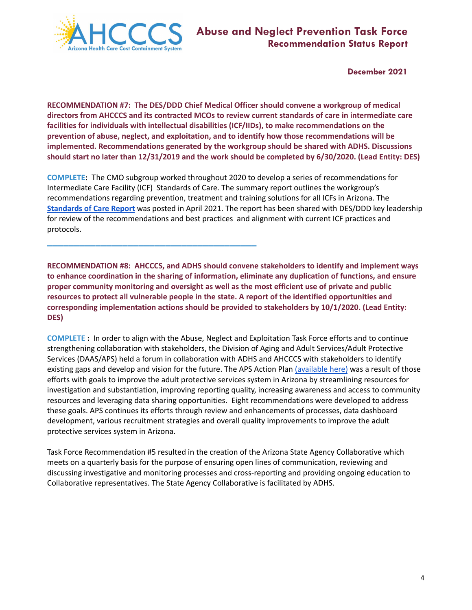

**\_\_\_\_\_\_\_\_\_\_\_\_\_\_\_\_\_\_\_\_\_\_\_\_\_\_\_\_\_\_\_\_\_\_\_\_\_\_\_**

**December 2021**

**RECOMMENDATION #7: The DES/DDD Chief Medical Officer should convene a workgroup of medical directors from AHCCCS and its contracted MCOs to review current standards of care in intermediate care facilities for individuals with intellectual disabilities (ICF/IIDs), to make recommendations on the prevention of abuse, neglect, and exploitation, and to identify how those recommendations will be implemented. Recommendations generated by the workgroup should be shared with ADHS. Discussions should start no later than 12/31/2019 and the work should be completed by 6/30/2020. (Lead Entity: DES)**

**COMPLETE:** The CMO subgroup worked throughout 2020 to develop a series of recommendations for Intermediate Care Facility (ICF) Standards of Care. The summary report outlines the workgroup's recommendations regarding prevention, treatment and training solutions for all ICFs in Arizona. The **[Standards](https://www.azahcccs.gov/AHCCCS/Downloads/CMOSummaryReportRecommendation.pdf) of Care Report** was posted in April 2021. The report has been shared with DES/DDD key leadership for review of the recommendations and best practices and alignment with current ICF practices and protocols.

**RECOMMENDATION #8: AHCCCS, and ADHS should convene stakeholders to identify and implement ways to enhance coordination in the sharing of information, eliminate any duplication of functions, and ensure proper community monitoring and oversight as well as the most efficient use of private and public resources to protect all vulnerable people in the state. A report of the identified opportunities and corresponding implementation actions should be provided to stakeholders by 10/1/2020. (Lead Entity: DES)**

**COMPLETE :** In order to align with the Abuse, Neglect and Exploitation Task Force efforts and to continue strengthening collaboration with stakeholders, the Division of Aging and Adult Services/Adult Protective Services (DAAS/APS) held a forum in collaboration with ADHS and AHCCCS with stakeholders to identify existing gaps and develop and vision for the future. The APS Action Plan [\(available](https://des.az.gov/sites/default/files/dl/APS-Action-Plan.pdf?time=1629934982674) here) was a result of those efforts with goals to improve the adult protective services system in Arizona by streamlining resources for investigation and substantiation, improving reporting quality, increasing awareness and access to community resources and leveraging data sharing opportunities. Eight recommendations were developed to address these goals. APS continues its efforts through review and enhancements of processes, data dashboard development, various recruitment strategies and overall quality improvements to improve the adult protective services system in Arizona.

Task Force Recommendation #5 resulted in the creation of the Arizona State Agency Collaborative which meets on a quarterly basis for the purpose of ensuring open lines of communication, reviewing and discussing investigative and monitoring processes and cross-reporting and providing ongoing education to Collaborative representatives. The State Agency Collaborative is facilitated by ADHS.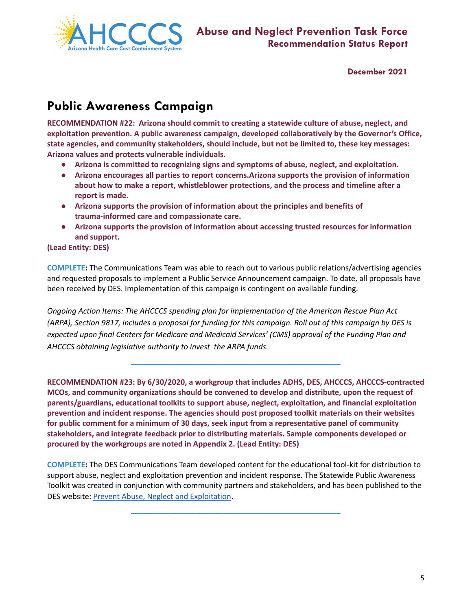

# **Public Awareness Campaign**

**RECOMMENDATION #22: Arizona should commit to creating a statewide culture of abuse, neglect, and exploitation prevention. A public awareness campaign, developed collaboratively by the Governor's Office, state agencies, and community stakeholders, should include, but not be limited to, these key messages: Arizona values and protects vulnerable individuals.**

- **● Arizona is committed to recognizing signs and symptoms of abuse, neglect, and exploitation.**
- **● Arizona encourages all parties to report concerns.Arizona supports the provision of information about how to make a report, whistleblower protections, and the process and timeline after a report is made.**
- **● Arizona supports the provision of information about the principles and benefits of trauma-informed care and compassionate care.**
- **● Arizona supports the provision of information about accessing trusted resources for information and support.**

**(Lead Entity: DES)**

**COMPLETE:** The Communications Team was able to reach out to various public relations/advertising agencies and requested proposals to implement a Public Service Announcement campaign. To date, all proposals have been received by DES. Implementation of this campaign is contingent on available funding.

*Ongoing Action Items: The AHCCCS spending plan for implementation of the American Rescue Plan Act* (ARPA), Section 9817, includes a proposal for funding for this campaign. Roll out of this campaign by DES is *expected upon final Centers for Medicare and Medicaid Services' (CMS) approval of the Funding Plan and AHCCCS obtaining legislative authority to invest the ARPA funds.*

**RECOMMENDATION #23: By 6/30/2020, a workgroup that includes ADHS, DES, AHCCCS, AHCCCS-contracted MCOs, and community organizations should be convened to develop and distribute, upon the request of parents/guardians, educational toolkits to support abuse, neglect, exploitation, and financial exploitation prevention and incident response. The agencies should post proposed toolkit materials on their websites for public comment for a minimum of 30 days, seek input from a representative panel of community stakeholders, and integrate feedback prior to distributing materials. Sample components developed or procured by the workgroups are noted in Appendix 2. (Lead Entity: DES)**

**\_\_\_\_\_\_\_\_\_\_\_\_\_\_\_\_\_\_\_\_\_\_\_\_\_\_\_\_\_\_\_\_\_\_\_\_\_\_\_**

**COMPLETE:** The DES Communications Team developed content for the educational tool-kit for distribution to support abuse, neglect and exploitation prevention and incident response. The Statewide Public Awareness Toolkit was created in conjunction with community partners and stakeholders, and has been published to the DES website: Prevent Abuse, Neglect and [Exploitation](https://des.az.gov/prevent-abuse-neglect-and-exploitation).

**\_\_\_\_\_\_\_\_\_\_\_\_\_\_\_\_\_\_\_\_\_\_\_\_\_\_\_\_\_\_\_\_\_\_\_\_\_\_\_**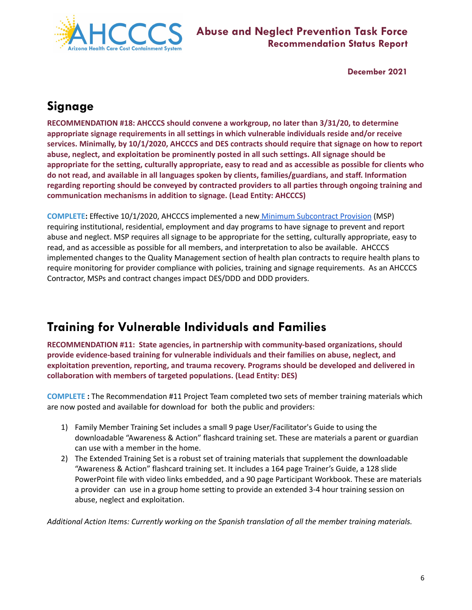

### **Signage**

**RECOMMENDATION #18: AHCCCS should convene a workgroup, no later than 3/31/20, to determine appropriate signage requirements in all settings in which vulnerable individuals reside and/or receive services. Minimally, by 10/1/2020, AHCCCS and DES contracts should require that signage on how to report abuse, neglect, and exploitation be prominently posted in all such settings. All signage should be** appropriate for the setting, culturally appropriate, easy to read and as accessible as possible for clients who **do not read, and available in all languages spoken by clients, families/guardians, and staff. Information regarding reporting should be conveyed by contracted providers to all parties through ongoing training and communication mechanisms in addition to signage. (Lead Entity: AHCCCS)**

**COMPLETE:** Effective 10/1/2020, AHCCCS implemented a new Minimum [Subcontract](https://www.azahcccs.gov/PlansProviders/HealthPlans/minimumsubcontractprovisions.html) Provision (MSP) requiring institutional, residential, employment and day programs to have signage to prevent and report abuse and neglect. MSP requires all signage to be appropriate for the setting, culturally appropriate, easy to read, and as accessible as possible for all members, and interpretation to also be available. AHCCCS implemented changes to the Quality Management section of health plan contracts to require health plans to require monitoring for provider compliance with policies, training and signage requirements. As an AHCCCS Contractor, MSPs and contract changes impact DES/DDD and DDD providers.

# **Training for Vulnerable Individuals and Families**

**RECOMMENDATION #11: State agencies, in partnership with community-based organizations, should provide evidence-based training for vulnerable individuals and their families on abuse, neglect, and exploitation prevention, reporting, and trauma recovery. Programs should be developed and delivered in collaboration with members of targeted populations. (Lead Entity: DES)**

**COMPLETE :** The Recommendation #11 Project Team completed two sets of member training materials which are now posted and available for download for both the public and providers:

- 1) Family Member Training Set includes a small 9 page User/Facilitator's Guide to using the downloadable "Awareness & Action" flashcard training set. These are materials a parent or guardian can use with a member in the home.
- 2) The Extended Training Set is a robust set of training materials that supplement the downloadable "Awareness & Action" flashcard training set. It includes a 164 page Trainer's Guide, a 128 slide PowerPoint file with video links embedded, and a 90 page Participant Workbook. These are materials a provider can use in a group home setting to provide an extended 3-4 hour training session on abuse, neglect and exploitation.

*Additional Action Items: Currently working on the Spanish translation of all the member training materials.*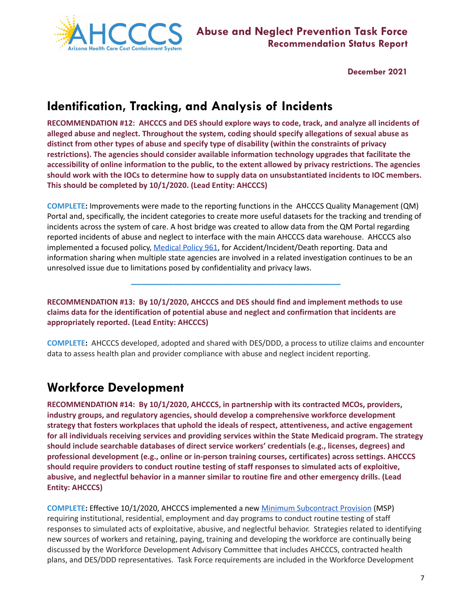

# **Identification, Tracking, and Analysis of Incidents**

**RECOMMENDATION #12: AHCCCS and DES should explore ways to code, track, and analyze all incidents of alleged abuse and neglect. Throughout the system, coding should specify allegations of sexual abuse as distinct from other types of abuse and specify type of disability (within the constraints of privacy restrictions). The agencies should consider available information technology upgrades that facilitate the accessibility of online information to the public, to the extent allowed by privacy restrictions. The agencies should work with the IOCs to determine how to supply data on unsubstantiated incidents to IOC members. This should be completed by 10/1/2020. (Lead Entity: AHCCCS)**

**COMPLETE:** Improvements were made to the reporting functions in the AHCCCS Quality Management (QM) Portal and, specifically, the incident categories to create more useful datasets for the tracking and trending of incidents across the system of care. A host bridge was created to allow data from the QM Portal regarding reported incidents of abuse and neglect to interface with the main AHCCCS data warehouse. AHCCCS also implemented a focused policy, [Medical](https://www.azahcccs.gov/shared/Downloads/MedicalPolicyManual/900/961.pdf) Policy 961, for Accident/Incident/Death reporting. Data and information sharing when multiple state agencies are involved in a related investigation continues to be an unresolved issue due to limitations posed by confidentiality and privacy laws.

**\_\_\_\_\_\_\_\_\_\_\_\_\_\_\_\_\_\_\_\_\_\_\_\_\_\_\_\_\_\_\_\_\_\_\_\_\_\_\_**

**RECOMMENDATION #13: By 10/1/2020, AHCCCS and DES should find and implement methods to use claims data for the identification of potential abuse and neglect and confirmation that incidents are appropriately reported. (Lead Entity: AHCCCS)**

**COMPLETE:** AHCCCS developed, adopted and shared with DES/DDD, a process to utilize claims and encounter data to assess health plan and provider compliance with abuse and neglect incident reporting.

#### **Workforce Development**

**RECOMMENDATION #14: By 10/1/2020, AHCCCS, in partnership with its contracted MCOs, providers, industry groups, and regulatory agencies, should develop a comprehensive workforce development strategy that fosters workplaces that uphold the ideals of respect, attentiveness, and active engagement for all individuals receiving services and providing services within the State Medicaid program. The strategy should include searchable databases of direct service workers' credentials (e.g., licenses, degrees) and professional development (e.g., online or in-person training courses, certificates) across settings. AHCCCS should require providers to conduct routine testing of staff responses to simulated acts of exploitive, abusive, and neglectful behavior in a manner similar to routine fire and other emergency drills. (Lead Entity: AHCCCS)**

**COMPLETE:** Effective 10/1/2020, AHCCCS implemented a new Minimum [Subcontract](https://www.azahcccs.gov/PlansProviders/HealthPlans/minimumsubcontractprovisions.html) Provision (MSP) requiring institutional, residential, employment and day programs to conduct routine testing of staff responses to simulated acts of exploitative, abusive, and neglectful behavior. Strategies related to identifying new sources of workers and retaining, paying, training and developing the workforce are continually being discussed by the Workforce Development Advisory Committee that includes AHCCCS, contracted health plans, and DES/DDD representatives. Task Force requirements are included in the Workforce Development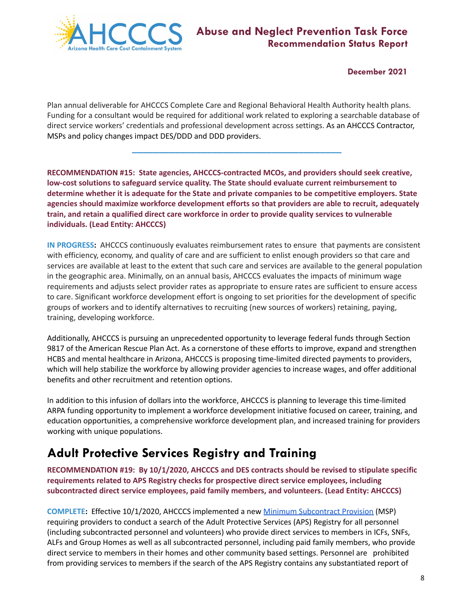

Plan annual deliverable for AHCCCS Complete Care and Regional Behavioral Health Authority health plans. Funding for a consultant would be required for additional work related to exploring a searchable database of direct service workers' credentials and professional development across settings. As an AHCCCS Contractor, MSPs and policy changes impact DES/DDD and DDD providers.

**\_\_\_\_\_\_\_\_\_\_\_\_\_\_\_\_\_\_\_\_\_\_\_\_\_\_\_\_\_\_\_\_\_\_\_\_\_\_\_**

**RECOMMENDATION #15: State agencies, AHCCCS-contracted MCOs, and providers should seek creative, low-cost solutions to safeguard service quality. The State should evaluate current reimbursement to determine whether it is adequate for the State and private companies to be competitive employers. State agencies should maximize workforce development efforts so that providers are able to recruit, adequately train, and retain a qualified direct care workforce in order to provide quality services to vulnerable individuals. (Lead Entity: AHCCCS)**

**IN PROGRESS:** AHCCCS continuously evaluates reimbursement rates to ensure that payments are consistent with efficiency, economy, and quality of care and are sufficient to enlist enough providers so that care and services are available at least to the extent that such care and services are available to the general population in the geographic area. Minimally, on an annual basis, AHCCCS evaluates the impacts of minimum wage requirements and adjusts select provider rates as appropriate to ensure rates are sufficient to ensure access to care. Significant workforce development effort is ongoing to set priorities for the development of specific groups of workers and to identify alternatives to recruiting (new sources of workers) retaining, paying, training, developing workforce.

Additionally, AHCCCS is pursuing an unprecedented opportunity to leverage federal funds through Section 9817 of the American Rescue Plan Act. As a cornerstone of these efforts to improve, expand and strengthen HCBS and mental healthcare in Arizona, AHCCCS is proposing time-limited directed payments to providers, which will help stabilize the workforce by allowing provider agencies to increase wages, and offer additional benefits and other recruitment and retention options.

In addition to this infusion of dollars into the workforce, AHCCCS is planning to leverage this time-limited ARPA funding opportunity to implement a workforce development initiative focused on career, training, and education opportunities, a comprehensive workforce development plan, and increased training for providers working with unique populations.

### **Adult Protective Services Registry and Training**

**RECOMMENDATION #19: By 10/1/2020, AHCCCS and DES contracts should be revised to stipulate specific requirements related to APS Registry checks for prospective direct service employees, including subcontracted direct service employees, paid family members, and volunteers. (Lead Entity: AHCCCS)**

**COMPLETE:** Effective 10/1/2020, AHCCCS implemented a new Minimum [Subcontract](https://www.azahcccs.gov/PlansProviders/HealthPlans/minimumsubcontractprovisions.html) Provision (MSP) requiring providers to conduct a search of the Adult Protective Services (APS) Registry for all personnel (including subcontracted personnel and volunteers) who provide direct services to members in ICFs, SNFs, ALFs and Group Homes as well as all subcontracted personnel, including paid family members, who provide direct service to members in their homes and other community based settings. Personnel are prohibited from providing services to members if the search of the APS Registry contains any substantiated report of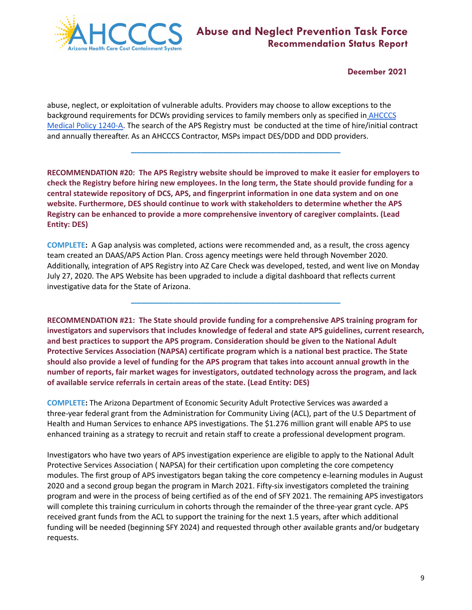

abuse, neglect, or exploitation of vulnerable adults. Providers may choose to allow exceptions to the background requirements for DCWs providing services to family members only as specified in [AHCCCS](https://www.azahcccs.gov/shared/Downloads/MedicalPolicyManual/1200/1240-A.pdf) [Medical](https://www.azahcccs.gov/shared/Downloads/MedicalPolicyManual/1200/1240-A.pdf) Policy 1240-A. The search of the APS Registry must be conducted at the time of hire/initial contract and annually thereafter. As an AHCCCS Contractor, MSPs impact DES/DDD and DDD providers.

**\_\_\_\_\_\_\_\_\_\_\_\_\_\_\_\_\_\_\_\_\_\_\_\_\_\_\_\_\_\_\_\_\_\_\_\_\_\_\_**

**RECOMMENDATION #20: The APS Registry website should be improved to make it easier for employers to** check the Registry before hiring new employees. In the long term, the State should provide funding for a **central statewide repository of DCS, APS, and fingerprint information in one data system and on one website. Furthermore, DES should continue to work with stakeholders to determine whether the APS Registry can be enhanced to provide a more comprehensive inventory of caregiver complaints. (Lead Entity: DES)**

**COMPLETE:** A Gap analysis was completed, actions were recommended and, as a result, the cross agency team created an DAAS/APS Action Plan. Cross agency meetings were held through November 2020. Additionally, integration of APS Registry into AZ Care Check was developed, tested, and went live on Monday July 27, 2020. The APS Website has been upgraded to include a digital dashboard that reflects current investigative data for the State of Arizona.

**\_\_\_\_\_\_\_\_\_\_\_\_\_\_\_\_\_\_\_\_\_\_\_\_\_\_\_\_\_\_\_\_\_\_\_\_\_\_\_**

**RECOMMENDATION #21: The State should provide funding for a comprehensive APS training program for investigators and supervisors that includes knowledge of federal and state APS guidelines, current research, and best practices to support the APS program. Consideration should be given to the National Adult Protective Services Association (NAPSA) certificate program which is a national best practice. The State** should also provide a level of funding for the APS program that takes into account annual growth in the **number of reports, fair market wages for investigators, outdated technology across the program, and lack of available service referrals in certain areas of the state. (Lead Entity: DES)**

**COMPLETE:** The Arizona Department of Economic Security Adult Protective Services was awarded a three-year federal grant from the Administration for Community Living (ACL), part of the U.S Department of Health and Human Services to enhance APS investigations. The \$1.276 million grant will enable APS to use enhanced training as a strategy to recruit and retain staff to create a professional development program.

Investigators who have two years of APS investigation experience are eligible to apply to the National Adult Protective Services Association ( NAPSA) for their certification upon completing the core competency modules. The first group of APS investigators began taking the core competency e-learning modules in August 2020 and a second group began the program in March 2021. Fifty-six investigators completed the training program and were in the process of being certified as of the end of SFY 2021. The remaining APS investigators will complete this training curriculum in cohorts through the remainder of the three-year grant cycle. APS received grant funds from the ACL to support the training for the next 1.5 years, after which additional funding will be needed (beginning SFY 2024) and requested through other available grants and/or budgetary requests.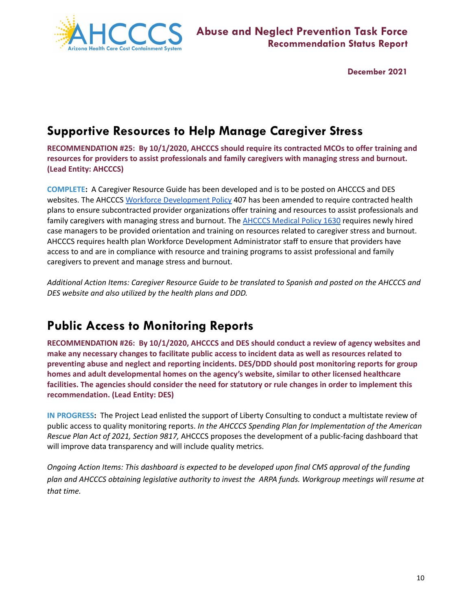

### **Supportive Resources to Help Manage Caregiver Stress**

**RECOMMENDATION #25: By 10/1/2020, AHCCCS should require its contracted MCOs to offer training and resources for providers to assist professionals and family caregivers with managing stress and burnout. (Lead Entity: AHCCCS)**

**COMPLETE:** A Caregiver Resource Guide has been developed and is to be posted on AHCCCS and DES websites. The AHCCCS Workforce [Development](https://www.azahcccs.gov/shared/Downloads/ACOM/PolicyFiles/400/407_Workforce_Development.pdf) Policy 407 has been amended to require contracted health plans to ensure subcontracted provider organizations offer training and resources to assist professionals and family caregivers with managing stress and burnout. The [AHCCCS](https://www.azahcccs.gov/shared/Downloads/MedicalPolicyManual/1600/1630.pdf) Medical Policy 1630 requires newly hired case managers to be provided orientation and training on resources related to caregiver stress and burnout. AHCCCS requires health plan Workforce Development Administrator staff to ensure that providers have access to and are in compliance with resource and training programs to assist professional and family caregivers to prevent and manage stress and burnout.

Additional Action Items: Caregiver Resource Guide to be translated to Spanish and posted on the AHCCCS and *DES website and also utilized by the health plans and DDD.*

# **Public Access to Monitoring Reports**

**RECOMMENDATION #26: By 10/1/2020, AHCCCS and DES should conduct a review of agency websites and make any necessary changes to facilitate public access to incident data as well as resources related to preventing abuse and neglect and reporting incidents. DES/DDD should post monitoring reports for group homes and adult developmental homes on the agency's website, similar to other licensed healthcare** facilities. The agencies should consider the need for statutory or rule changes in order to implement this **recommendation. (Lead Entity: DES)**

**IN PROGRESS:** The Project Lead enlisted the support of Liberty Consulting to conduct a multistate review of public access to quality monitoring reports. *In the AHCCCS Spending Plan for Implementation of the American Rescue Plan Act of 2021, Section 9817,* AHCCCS proposes the development of a public-facing dashboard that will improve data transparency and will include quality metrics.

*Ongoing Action Items: This dashboard is expected to be developed upon final CMS approval of the funding plan and AHCCCS obtaining legislative authority to invest the ARPA funds. Workgroup meetings will resume at that time.*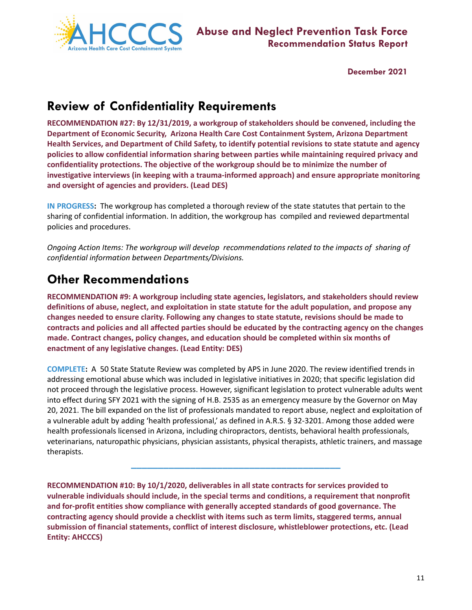

### **Review of Confidentiality Requirements**

**RECOMMENDATION #27: By 12/31/2019, a workgroup of stakeholders should be convened, including the Department of Economic Security, Arizona Health Care Cost Containment System, Arizona Department Health Services, and Department of Child Safety, to identify potential revisions to state statute and agency policies to allow confidential information sharing between parties while maintaining required privacy and confidentiality protections. The objective of the workgroup should be to minimize the number of investigative interviews (in keeping with a trauma-informed approach) and ensure appropriate monitoring and oversight of agencies and providers. (Lead DES)**

**IN PROGRESS:** The workgroup has completed a thorough review of the state statutes that pertain to the sharing of confidential information. In addition, the workgroup has compiled and reviewed departmental policies and procedures.

*Ongoing Action Items: The workgroup will develop recommendations related to the impacts of sharing of confidential information between Departments/Divisions.*

### **Other Recommendations**

**RECOMMENDATION #9: A workgroup including state agencies, legislators, and stakeholders should review definitions of abuse, neglect, and exploitation in state statute for the adult population, and propose any changes needed to ensure clarity. Following any changes to state statute, revisions should be made to** contracts and policies and all affected parties should be educated by the contracting agency on the changes **made. Contract changes, policy changes, and education should be completed within six months of enactment of any legislative changes. (Lead Entity: DES)**

**COMPLETE:** A 50 State Statute Review was completed by APS in June 2020. The review identified trends in addressing emotional abuse which was included in legislative initiatives in 2020; that specific legislation did not proceed through the legislative process. However, significant legislation to protect vulnerable adults went into effect during SFY 2021 with the signing of H.B. 2535 as an emergency measure by the Governor on May 20, 2021. The bill expanded on the list of professionals mandated to report abuse, neglect and exploitation of a vulnerable adult by adding 'health professional,' as defined in A.R.S. § 32-3201. Among those added were health professionals licensed in Arizona, including chiropractors, dentists, behavioral health professionals, veterinarians, naturopathic physicians, physician assistants, physical therapists, athletic trainers, and massage therapists.

**\_\_\_\_\_\_\_\_\_\_\_\_\_\_\_\_\_\_\_\_\_\_\_\_\_\_\_\_\_\_\_\_\_\_\_\_\_\_\_**

**RECOMMENDATION #10: By 10/1/2020, deliverables in all state contracts for services provided to vulnerable individuals should include, in the special terms and conditions, a requirement that nonprofit and for-profit entities show compliance with generally accepted standards of good governance. The contracting agency should provide a checklist with items such as term limits, staggered terms, annual submission of financial statements, conflict of interest disclosure, whistleblower protections, etc. (Lead Entity: AHCCCS)**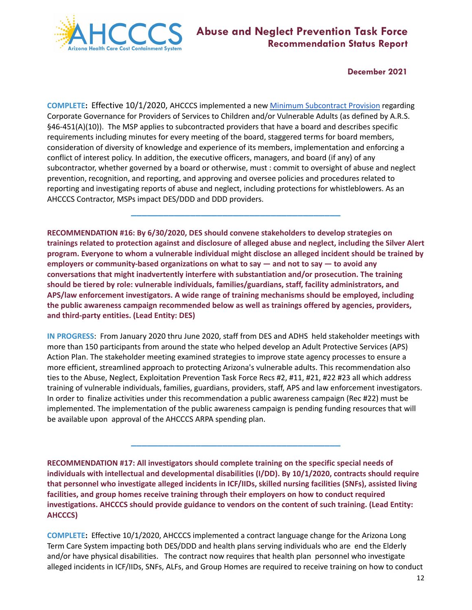

#### **Abuse and Neglect Prevention Task Force Recommendation Status Report**

**December 2021**

**COMPLETE:** Effective 10/1/2020, AHCCCS implemented a new Minimum [Subcontract](https://www.azahcccs.gov/shared/Downloads/ACOM/PolicyFiles/400/407_Workforce_Development.pdf) Provision regarding Corporate Governance for Providers of Services to Children and/or Vulnerable Adults (as defined by A.R.S. §46-451(A)(10)). The MSP applies to subcontracted providers that have a board and describes specific requirements including minutes for every meeting of the board, staggered terms for board members, consideration of diversity of knowledge and experience of its members, implementation and enforcing a conflict of interest policy. In addition, the executive officers, managers, and board (if any) of any subcontractor, whether governed by a board or otherwise, must : commit to oversight of abuse and neglect prevention, recognition, and reporting, and approving and oversee policies and procedures related to reporting and investigating reports of abuse and neglect, including protections for whistleblowers. As an AHCCCS Contractor, MSPs impact DES/DDD and DDD providers.

**RECOMMENDATION #16: By 6/30/2020, DES should convene stakeholders to develop strategies on trainings related to protection against and disclosure of alleged abuse and neglect, including the Silver Alert program. Everyone to whom a vulnerable individual might disclose an alleged incident should be trained by employers or community-based organizations on what to say — and not to say — to avoid any conversations that might inadvertently interfere with substantiation and/or prosecution. The training should be tiered by role: vulnerable individuals, families/guardians, staff, facility administrators, and APS/law enforcement investigators. A wide range of training mechanisms should be employed, including the public awareness campaign recommended below as well as trainings offered by agencies, providers, and third-party entities. (Lead Entity: DES)**

**\_\_\_\_\_\_\_\_\_\_\_\_\_\_\_\_\_\_\_\_\_\_\_\_\_\_\_\_\_\_\_\_\_\_\_\_\_\_\_**

**IN PROGRESS**: From January 2020 thru June 2020, staff from DES and ADHS held stakeholder meetings with more than 150 participants from around the state who helped develop an Adult Protective Services (APS) Action Plan. The stakeholder meeting examined strategies to improve state agency processes to ensure a more efficient, streamlined approach to protecting Arizona's vulnerable adults. This recommendation also ties to the Abuse, Neglect, Exploitation Prevention Task Force Recs #2, #11, #21, #22 #23 all which address training of vulnerable individuals, families, guardians, providers, staff, APS and law enforcement investigators. In order to finalize activities under this recommendation a public awareness campaign (Rec #22) must be implemented. The implementation of the public awareness campaign is pending funding resources that will be available upon approval of the AHCCCS ARPA spending plan.

**RECOMMENDATION #17: All investigators should complete training on the specific special needs of individuals with intellectual and developmental disabilities (I/DD). By 10/1/2020, contracts should require that personnel who investigate alleged incidents in ICF/IIDs, skilled nursing facilities (SNFs), assisted living facilities, and group homes receive training through their employers on how to conduct required investigations. AHCCCS should provide guidance to vendors on the content of such training. (Lead Entity: AHCCCS)**

**\_\_\_\_\_\_\_\_\_\_\_\_\_\_\_\_\_\_\_\_\_\_\_\_\_\_\_\_\_\_\_\_\_\_\_\_\_\_\_**

**COMPLETE:** Effective 10/1/2020, AHCCCS implemented a contract language change for the Arizona Long Term Care System impacting both DES/DDD and health plans serving individuals who are end the Elderly and/or have physical disabilities. The contract now requires that health plan personnel who investigate alleged incidents in ICF/IIDs, SNFs, ALFs, and Group Homes are required to receive training on how to conduct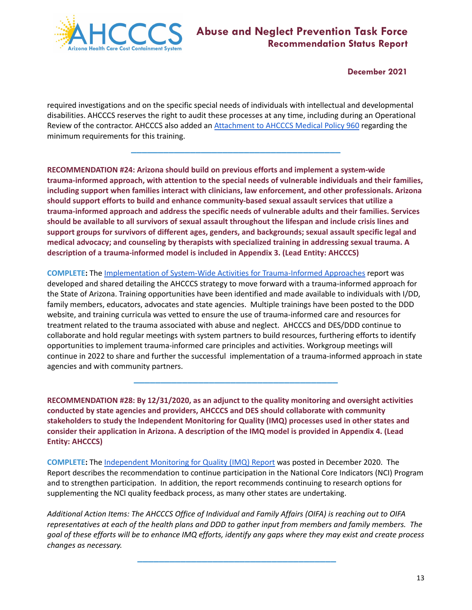

required investigations and on the specific special needs of individuals with intellectual and developmental disabilities. AHCCCS reserves the right to audit these processes at any time, including during an Operational Review of the contractor. AHCCCS also added an [Attachment](https://www.azahcccs.gov/shared/MedicalPolicyManual/) to AHCCCS Medical Policy 960 regarding the minimum requirements for this training.

**\_\_\_\_\_\_\_\_\_\_\_\_\_\_\_\_\_\_\_\_\_\_\_\_\_\_\_\_\_\_\_\_\_\_\_\_\_\_\_**

**RECOMMENDATION #24: Arizona should build on previous efforts and implement a system-wide trauma-informed approach, with attention to the special needs of vulnerable individuals and their families, including support when families interact with clinicians, law enforcement, and other professionals. Arizona should support efforts to build and enhance community-based sexual assault services that utilize a trauma-informed approach and address the specific needs of vulnerable adults and their families. Services** should be available to all survivors of sexual assault throughout the lifespan and include crisis lines and **support groups for survivors of different ages, genders, and backgrounds; sexual assault specific legal and medical advocacy; and counseling by therapists with specialized training in addressing sexual trauma. A description of a trauma-informed model is included in Appendix 3. (Lead Entity: AHCCCS)**

**COMPLETE:** The Implementation of System-Wide Activities for [Trauma-Informed](https://www.azahcccs.gov/AHCCCS/Downloads/TraumaInformedRec24.pdf) Approaches report was developed and shared detailing the AHCCCS strategy to move forward with a trauma-informed approach for the State of Arizona. Training opportunities have been identified and made available to individuals with I/DD, family members, educators, advocates and state agencies. Multiple trainings have been posted to the DDD website, and training curricula was vetted to ensure the use of trauma-informed care and resources for treatment related to the trauma associated with abuse and neglect. AHCCCS and DES/DDD continue to collaborate and hold regular meetings with system partners to build resources, furthering efforts to identify opportunities to implement trauma-informed care principles and activities. Workgroup meetings will continue in 2022 to share and further the successful implementation of a trauma-informed approach in state agencies and with community partners.

**\_\_\_\_\_\_\_\_\_\_\_\_\_\_\_\_\_\_\_\_\_\_\_\_\_\_\_\_\_\_\_\_\_\_\_\_\_\_**

**RECOMMENDATION #28: By 12/31/2020, as an adjunct to the quality monitoring and oversight activities conducted by state agencies and providers, AHCCCS and DES should collaborate with community stakeholders to study the Independent Monitoring for Quality (IMQ) processes used in other states and consider their application in Arizona. A description of the IMQ model is provided in Appendix 4. (Lead Entity: AHCCCS)**

**COMPLETE:** The [Independent](https://www.azahcccs.gov/AHCCCS/Downloads/AbuseAndNeglectPreventionTaskForce_SummaryReportIMQ.pdf) Monitoring for Quality (IMQ) Report was posted in December 2020. The Report describes the recommendation to continue participation in the National Core Indicators (NCI) Program and to strengthen participation. In addition, the report recommends continuing to research options for supplementing the NCI quality feedback process, as many other states are undertaking.

Additional Action Items: The AHCCCS Office of Individual and Family Affairs (OIFA) is reaching out to OIFA representatives at each of the health plans and DDD to gather input from members and family members. The goal of these efforts will be to enhance IMQ efforts, identify any gaps where they may exist and create process *changes as necessary.*

**\_\_\_\_\_\_\_\_\_\_\_\_\_\_\_\_\_\_\_\_\_\_\_\_\_\_\_\_\_\_\_\_\_\_\_\_\_**